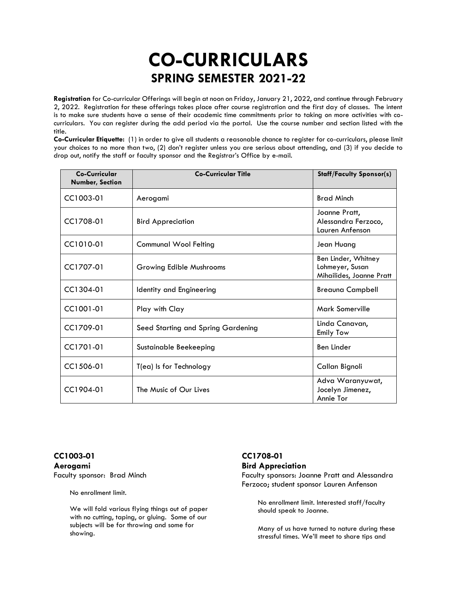# **CO-CURRICULARS SPRING SEMESTER 2021-22**

**Registration** for Co-curricular Offerings will begin at noon on Friday, January 21, 2022, and continue through February 2, 2022. Registration for these offerings takes place after course registration and the first day of classes. The intent is to make sure students have a sense of their academic time commitments prior to taking on more activities with cocurriculars. You can register during the add period via the portal. Use the course number and section listed with the title.

**Co-Curricular Etiquette:** (1) in order to give all students a reasonable chance to register for co-curriculars, please limit your choices to no more than two, (2) don't register unless you are serious about attending, and (3) if you decide to drop out, notify the staff or faculty sponsor and the Registrar's Office by e-mail.

| Co-Curricular<br><b>Number, Section</b> | <b>Co-Curricular Title</b>         | <b>Staff/Faculty Sponsor(s)</b>                                    |
|-----------------------------------------|------------------------------------|--------------------------------------------------------------------|
| CC1003-01                               | Aerogami                           | <b>Brad Minch</b>                                                  |
| CC1708-01                               | <b>Bird Appreciation</b>           | Joanne Pratt,<br>Alessandra Ferzoco,<br>Lauren Anfenson            |
| $C C1010-01$                            | <b>Communal Wool Felting</b>       | Jean Huang                                                         |
| CC1707-01                               | Growing Edible Mushrooms           | Ben Linder, Whitney<br>Lohmeyer, Susan<br>Mihailides, Joanne Pratt |
| CC1304-01                               | Identity and Engineering           | <b>Breauna Campbell</b>                                            |
| CC1001-01                               | Play with Clay                     | Mark Somerville                                                    |
| CC1709-01                               | Seed Starting and Spring Gardening | Linda Canavan,<br><b>Emily Tow</b>                                 |
| CC1701-01                               | Sustainable Beekeeping             | <b>Ben Linder</b>                                                  |
| CC1506-01                               | T(ea) Is for Technology            | Callan Bignoli                                                     |
| CC1904-01                               | The Music of Our Lives             | Adva Waranyuwat,<br>Jocelyn Jimenez,<br>Annie Tor                  |

### **CC1003-01 Aerogami** Faculty sponsor: Brad Minch

No enrollment limit.

We will fold various flying things out of paper with no cutting, taping, or gluing. Some of our subjects will be for throwing and some for showing.

# **CC1708-01**

#### **Bird Appreciation**

Faculty sponsors: Joanne Pratt and Alessandra Ferzoco; student sponsor Lauren Anfenson

No enrollment limit. Interested staff/faculty should speak to Joanne.

Many of us have turned to nature during these stressful times. We'll meet to share tips and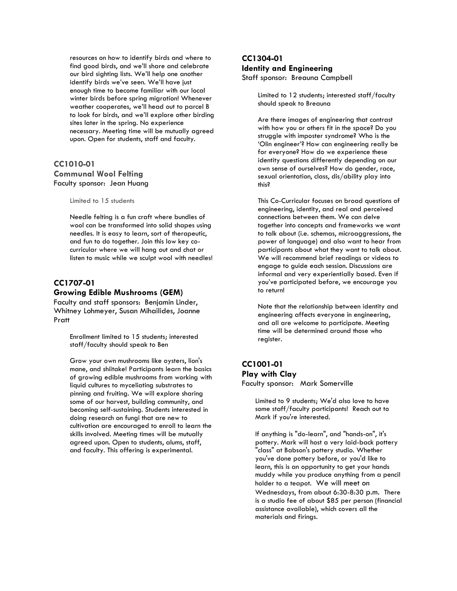resources on how to identify birds and where to find good birds, and we'll share and celebrate our bird sighting lists. We'll help one another identify birds we've seen. We'll have just enough time to become familiar with our local winter birds before spring migration! Whenever weather cooperates, we'll head out to parcel B to look for birds, and we'll explore other birding sites later in the spring. No experience necessary. Meeting time will be mutually agreed upon. Open for students, staff and faculty.

#### **CC1010-01 Communal Wool Felting** Faculty sponsor: Jean Huang

Limited to 15 students

Needle felting is a fun craft where bundles of wool can be transformed into solid shapes using needles. It is easy to learn, sort of therapeutic, and fun to do together. Join this low key cocurricular where we will hang out and chat or listen to music while we sculpt wool with needles!

## **CC1707-01**

#### **Growing Edible Mushrooms (GEM)**

Faculty and staff sponsors: Benjamin Linder, Whitney Lohmeyer, Susan Mihailides, Joanne Pratt

> Enrollment limited to 15 students; interested staff/faculty should speak to Ben

Grow your own mushrooms like oysters, lion's mane, and shiitake! Participants learn the basics of growing edible mushrooms from working with liquid cultures to myceliating substrates to pinning and fruiting. We will explore sharing some of our harvest, building community, and becoming self-sustaining. Students interested in doing research on fungi that are new to cultivation are encouraged to enroll to learn the skills involved. Meeting times will be mutually agreed upon. Open to students, alums, staff, and faculty. This offering is experimental.

#### **CC1304-01 Identity and Engineering** Staff sponsor: Breauna Campbell

Limited to 12 students; interested staff/faculty should speak to Breauna

Are there images of engineering that contrast with how you or others fit in the space? Do you struggle with imposter syndrome? Who is the 'Olin engineer'? How can engineering really be for everyone? How do we experience these identity questions differently depending on our own sense of ourselves? How do gender, race, sexual orientation, class, dis/ability play into this?

This Co-Curricular focuses on broad questions of engineering, identity, and real and perceived connections between them. We can delve together into concepts and frameworks we want to talk about (i.e. schemas, microaggressions, the power of language) and also want to hear from participants about what they want to talk about. We will recommend brief readings or videos to engage to guide each session. Discussions are informal and very experientially based. Even if you've participated before, we encourage you to return!

Note that the relationship between identity and engineering affects everyone in engineering, and all are welcome to participate. Meeting time will be determined around those who register.

## **CC1001-01 Play with Clay**

Faculty sponsor: Mark Somerville

Limited to 9 students; We'd also love to have some staff/faculty participants! Reach out to Mark if you're interested.

If anything is "do-learn", and "hands-on", it's pottery. Mark will host a very laid-back pottery "class" at Babson's pottery studio. Whether you've done pottery before, or you'd like to learn, this is an opportunity to get your hands muddy while you produce anything from a pencil holder to a teapot. We will meet on Wednesdays, from about 6:30-8:30 p.m. There is a studio fee of about \$85 per person (financial assistance available), which covers all the materials and firings.